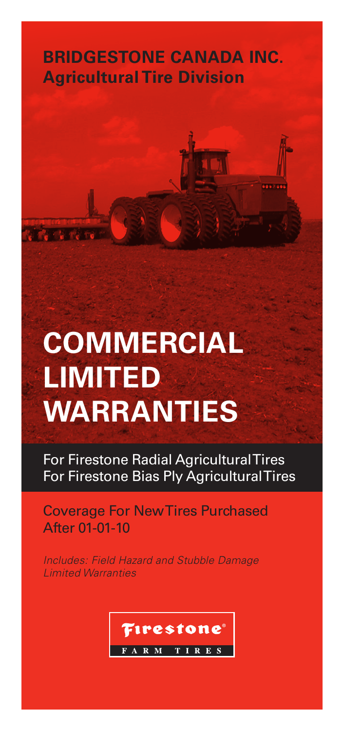# **BRIDGESTONE CANADA INC. Agricultural Tire Division**

# **COMMERCIAL LIMITED WARRANTIES**

For Firestone Radial Agricultural Tires For Firestone Bias Ply Agricultural Tires

Coverage For New Tires Purchased After 01-01-10

*Includes: Field Hazard and Stubble Damage Limited Warranties*

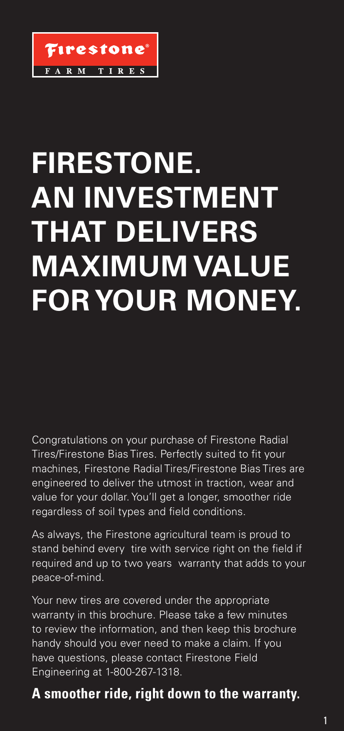

# **FIRESTONE. AN INVESTMENT THAT DELIVERS MAXIMUM VALUE FOR YOUR MONEY.**

Congratulations on your purchase of Firestone Radial Tires/Firestone Bias Tires. Perfectly suited to fit your machines, Firestone Radial Tires/Firestone Bias Tires are engineered to deliver the utmost in traction, wear and value for your dollar. You'll get a longer, smoother ride regardless of soil types and field conditions.

As always, the Firestone agricultural team is proud to stand behind every tire with service right on the field if required and up to two years warranty that adds to your peace-of-mind.

Your new tires are covered under the appropriate warranty in this brochure. Please take a few minutes to review the information, and then keep this brochure handy should you ever need to make a claim. If you have questions, please contact Firestone Field Engineering at 1-800-267-1318.

# **A smoother ride, right down to the warranty.**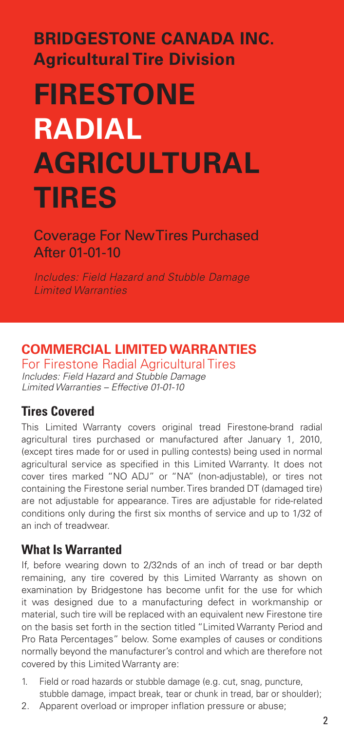# **BRIDGESTONE CANADA INC. Agricultural Tire Division**

# **FIRESTONE RADIAL AGRICULTURAL TIRES**

Coverage For New Tires Purchased After 01-01-10

*Includes: Field Hazard and Stubble Damage Limited Warranties*

## **COMMERCIAL LIMITED WARRANTIES**

For Firestone Radial Agricultural Tires *Includes: Field Hazard and Stubble Damage Limited Warranties – Effective 01-01-10*

## **Tires Covered**

This Limited Warranty covers original tread Firestone-brand radial agricultural tires purchased or manufactured after January 1, 2010, (except tires made for or used in pulling contests) being used in normal agricultural service as specified in this Limited Warranty. It does not cover tires marked "NO ADJ" or "NA" (non-adjustable), or tires not containing the Firestone serial number. Tires branded DT (damaged tire) are not adjustable for appearance. Tires are adjustable for ride-related conditions only during the first six months of service and up to 1/32 of an inch of treadwear.

## **What Is Warranted**

If, before wearing down to 2/32nds of an inch of tread or bar depth remaining, any tire covered by this Limited Warranty as shown on examination by Bridgestone has become unfit for the use for which it was designed due to a manufacturing defect in workmanship or material, such tire will be replaced with an equivalent new Firestone tire on the basis set forth in the section titled "Limited Warranty Period and Pro Rata Percentages" below. Some examples of causes or conditions normally beyond the manufacturer's control and which are therefore not covered by this Limited Warranty are:

- 1. Field or road hazards or stubble damage (e.g. cut, snag, puncture, stubble damage, impact break, tear or chunk in tread, bar or shoulder);
- 2. Apparent overload or improper inflation pressure or abuse;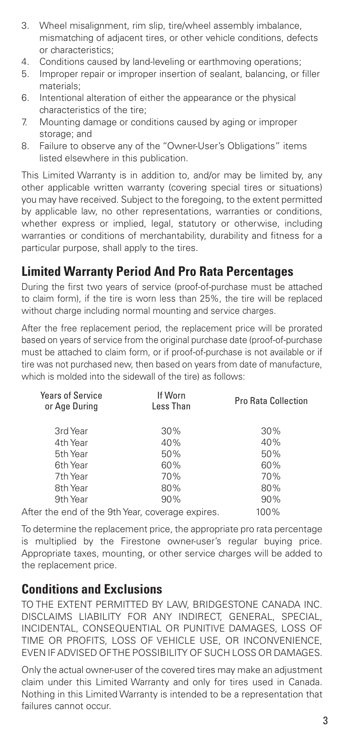- 3. Wheel misalignment, rim slip, tire/wheel assembly imbalance, mismatching of adjacent tires, or other vehicle conditions, defects or characteristics;
- 4. Conditions caused by land-leveling or earthmoving operations;
- 5. Improper repair or improper insertion of sealant, balancing, or filler materials;
- 6. Intentional alteration of either the appearance or the physical characteristics of the tire;
- 7. Mounting damage or conditions caused by aging or improper storage; and
- 8. Failure to observe any of the "Owner-User's Obligations" items listed elsewhere in this publication.

This Limited Warranty is in addition to, and/or may be limited by, any other applicable written warranty (covering special tires or situations) you may have received. Subject to the foregoing, to the extent permitted by applicable law, no other representations, warranties or conditions, whether express or implied, legal, statutory or otherwise, including warranties or conditions of merchantability, durability and fitness for a particular purpose, shall apply to the tires.

## **Limited Warranty Period And Pro Rata Percentages**

During the first two years of service (proof-of-purchase must be attached to claim form), if the tire is worn less than 25%, the tire will be replaced without charge including normal mounting and service charges.

After the free replacement period, the replacement price will be prorated based on years of service from the original purchase date (proof-of-purchase must be attached to claim form, or if proof-of-purchase is not available or if tire was not purchased new, then based on years from date of manufacture, which is molded into the sidewall of the tire) as follows:

| <b>Years of Service</b><br>or Age During         | If Worn<br>Less Than | <b>Pro Rata Collection</b> |
|--------------------------------------------------|----------------------|----------------------------|
| 3rd Year                                         | 30%                  | 30%                        |
| 4th Year                                         | 40%                  | 40%                        |
| 5th Year                                         | 50%                  | 50%                        |
| 6th Year                                         | 60%                  | 60%                        |
| 7th Year                                         | 70%                  | 70%                        |
| 8th Year                                         | 80%                  | 80%                        |
| 9th Year                                         | 90%                  | 90%                        |
| After the end of the 9th Year, coverage expires. |                      | 100%                       |

To determine the replacement price, the appropriate pro rata percentage is multiplied by the Firestone owner-user's regular buying price. Appropriate taxes, mounting, or other service charges will be added to the replacement price.

### **Conditions and Exclusions**

TO THE EXTENT PERMITTED BY LAW, BRIDGESTONE CANADA INC. DISCLAIMS LIABILITY FOR ANY INDIRECT, GENERAL, SPECIAL, INCIDENTAL, CONSEQUENTIAL OR PUNITIVE DAMAGES, LOSS OF TIME OR PROFITS, LOSS OF VEHICLE USE, OR INCONVENIENCE, EVEN IF ADVISED OF THE POSSIBILITY OF SUCH LOSS OR DAMAGES.

Only the actual owner-user of the covered tires may make an adjustment claim under this Limited Warranty and only for tires used in Canada. Nothing in this Limited Warranty is intended to be a representation that failures cannot occur.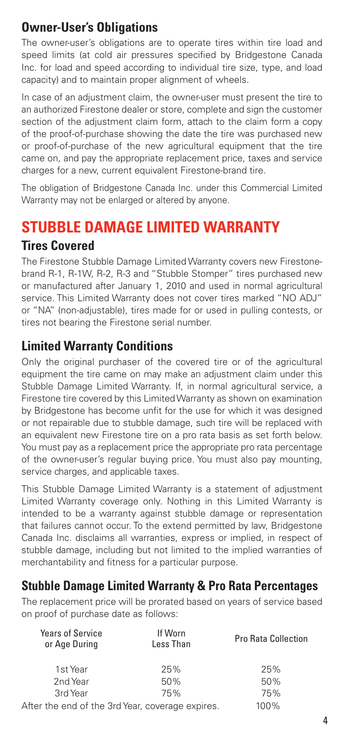# **Owner-User's Obligations**

The owner-user's obligations are to operate tires within tire load and speed limits (at cold air pressures specified by Bridgestone Canada Inc. for load and speed according to individual tire size, type, and load capacity) and to maintain proper alignment of wheels.

In case of an adjustment claim, the owner-user must present the tire to an authorized Firestone dealer or store, complete and sign the customer section of the adjustment claim form, attach to the claim form a copy of the proof-of-purchase showing the date the tire was purchased new or proof-of-purchase of the new agricultural equipment that the tire came on, and pay the appropriate replacement price, taxes and service charges for a new, current equivalent Firestone-brand tire.

The obligation of Bridgestone Canada Inc. under this Commercial Limited Warranty may not be enlarged or altered by anyone.

# **STUBBLE DAMAGE LIMITED WARRANTY**

## **Tires Covered**

The Firestone Stubble Damage Limited Warranty covers new Firestonebrand R-1, R-1W, R-2, R-3 and "Stubble Stomper" tires purchased new or manufactured after January 1, 2010 and used in normal agricultural service. This Limited Warranty does not cover tires marked "NO ADJ" or "NA" (non-adjustable), tires made for or used in pulling contests, or tires not bearing the Firestone serial number.

## **Limited Warranty Conditions**

Only the original purchaser of the covered tire or of the agricultural equipment the tire came on may make an adjustment claim under this Stubble Damage Limited Warranty. If, in normal agricultural service, a Firestone tire covered by this Limited Warranty as shown on examination by Bridgestone has become unfit for the use for which it was designed or not repairable due to stubble damage, such tire will be replaced with an equivalent new Firestone tire on a pro rata basis as set forth below. You must pay as a replacement price the appropriate pro rata percentage of the owner-user's regular buying price. You must also pay mounting, service charges, and applicable taxes.

This Stubble Damage Limited Warranty is a statement of adjustment Limited Warranty coverage only. Nothing in this Limited Warranty is intended to be a warranty against stubble damage or representation that failures cannot occur. To the extend permitted by law, Bridgestone Canada Inc. disclaims all warranties, express or implied, in respect of stubble damage, including but not limited to the implied warranties of merchantability and fitness for a particular purpose.

## **Stubble Damage Limited Warranty & Pro Rata Percentages**

The replacement price will be prorated based on years of service based on proof of purchase date as follows:

| <b>Years of Service</b><br>or Age During         | If Worn<br>Less Than | <b>Pro Rata Collection</b> |
|--------------------------------------------------|----------------------|----------------------------|
| 1st Year                                         | 25%                  | 25%                        |
| 2nd Year                                         | 50%                  | 50%                        |
| 3rd Year                                         | 75%                  | 75%                        |
| After the end of the 3rd Year, coverage expires. |                      | 100%                       |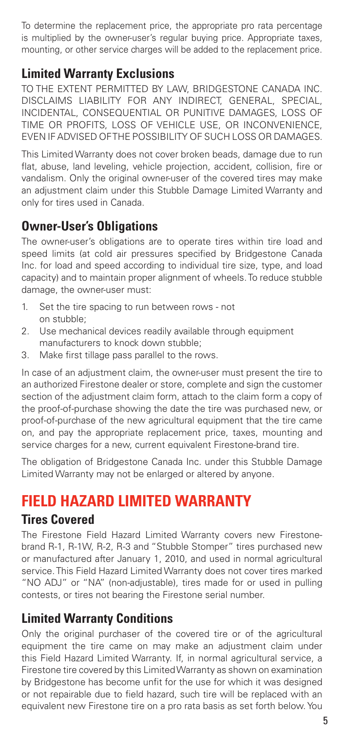To determine the replacement price, the appropriate pro rata percentage is multiplied by the owner-user's regular buying price. Appropriate taxes, mounting, or other service charges will be added to the replacement price.

## **Limited Warranty Exclusions**

TO THE EXTENT PERMITTED BY LAW, BRIDGESTONE CANADA INC. DISCLAIMS LIABILITY FOR ANY INDIRECT, GENERAL, SPECIAL, INCIDENTAL, CONSEQUENTIAL OR PUNITIVE DAMAGES, LOSS OF TIME OR PROFITS, LOSS OF VEHICLE USE, OR INCONVENIENCE, EVEN IF ADVISED OF THE POSSIBILITY OF SUCH LOSS OR DAMAGES.

This Limited Warranty does not cover broken beads, damage due to run flat, abuse, land leveling, vehicle projection, accident, collision, fire or vandalism. Only the original owner-user of the covered tires may make an adjustment claim under this Stubble Damage Limited Warranty and only for tires used in Canada.

## **Owner-User's Obligations**

The owner-user's obligations are to operate tires within tire load and speed limits (at cold air pressures specified by Bridgestone Canada Inc. for load and speed according to individual tire size, type, and load capacity) and to maintain proper alignment of wheels. To reduce stubble damage, the owner-user must:

- 1. Set the tire spacing to run between rows not on stubble;
- 2. Use mechanical devices readily available through equipment manufacturers to knock down stubble;
- 3. Make first tillage pass parallel to the rows.

In case of an adjustment claim, the owner-user must present the tire to an authorized Firestone dealer or store, complete and sign the customer section of the adjustment claim form, attach to the claim form a copy of the proof-of-purchase showing the date the tire was purchased new, or proof-of-purchase of the new agricultural equipment that the tire came on, and pay the appropriate replacement price, taxes, mounting and service charges for a new, current equivalent Firestone-brand tire.

The obligation of Bridgestone Canada Inc. under this Stubble Damage Limited Warranty may not be enlarged or altered by anyone.

# **FIELD HAZARD LIMITED WARRANTY**

### **Tires Covered**

The Firestone Field Hazard Limited Warranty covers new Firestonebrand R-1, R-1W, R-2, R-3 and "Stubble Stomper" tires purchased new or manufactured after January 1, 2010, and used in normal agricultural service. This Field Hazard Limited Warranty does not cover tires marked "NO ADJ" or "NA" (non-adjustable), tires made for or used in pulling contests, or tires not bearing the Firestone serial number.

## **Limited Warranty Conditions**

Only the original purchaser of the covered tire or of the agricultural equipment the tire came on may make an adjustment claim under this Field Hazard Limited Warranty. If, in normal agricultural service, a Firestone tire covered by this Limited Warranty as shown on examination by Bridgestone has become unfit for the use for which it was designed or not repairable due to field hazard, such tire will be replaced with an equivalent new Firestone tire on a pro rata basis as set forth below. You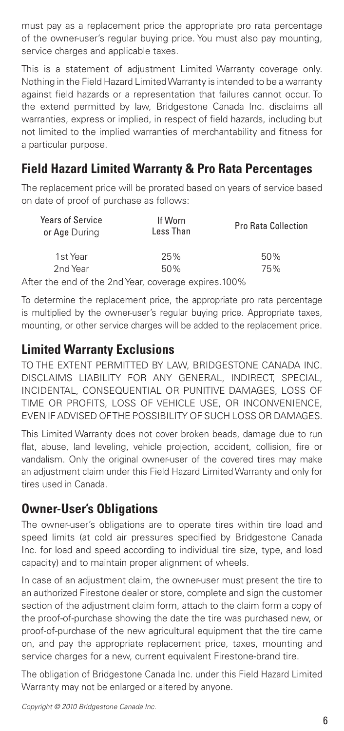must pay as a replacement price the appropriate pro rata percentage of the owner-user's regular buying price. You must also pay mounting, service charges and applicable taxes.

This is a statement of adjustment Limited Warranty coverage only. Nothing in the Field Hazard Limited Warranty is intended to be a warranty against field hazards or a representation that failures cannot occur. To the extend permitted by law, Bridgestone Canada Inc. disclaims all warranties, express or implied, in respect of field hazards, including but not limited to the implied warranties of merchantability and fitness for a particular purpose.

## **Field Hazard Limited Warranty & Pro Rata Percentages**

The replacement price will be prorated based on years of service based on date of proof of purchase as follows:

| Years of Service<br>or Age During | If Worn<br>Less Than                                        | <b>Pro Rata Collection</b> |
|-----------------------------------|-------------------------------------------------------------|----------------------------|
| 1st Year                          | 25%                                                         | 50%                        |
| 2nd Year                          | 50%                                                         | 75%                        |
|                                   | $\epsilon$ the end of the 2nd Vear, coverage overcent 1000/ |                            |

After the end of the 2nd Year, coverage expires.100%

To determine the replacement price, the appropriate pro rata percentage is multiplied by the owner-user's regular buying price. Appropriate taxes, mounting, or other service charges will be added to the replacement price.

### **Limited Warranty Exclusions**

TO THE EXTENT PERMITTED BY LAW, BRIDGESTONE CANADA INC. DISCLAIMS LIABILITY FOR ANY GENERAL, INDIRECT, SPECIAL, INCIDENTAL, CONSEQUENTIAL OR PUNITIVE DAMAGES, LOSS OF TIME OR PROFITS, LOSS OF VEHICLE USE, OR INCONVENIENCE, EVEN IF ADVISED OF THE POSSIBILITY OF SUCH LOSS OR DAMAGES.

This Limited Warranty does not cover broken beads, damage due to run flat, abuse, land leveling, vehicle projection, accident, collision, fire or vandalism. Only the original owner-user of the covered tires may make an adjustment claim under this Field Hazard Limited Warranty and only for tires used in Canada.

### **Owner-User's Obligations**

The owner-user's obligations are to operate tires within tire load and speed limits (at cold air pressures specified by Bridgestone Canada Inc. for load and speed according to individual tire size, type, and load capacity) and to maintain proper alignment of wheels.

In case of an adjustment claim, the owner-user must present the tire to an authorized Firestone dealer or store, complete and sign the customer section of the adjustment claim form, attach to the claim form a copy of the proof-of-purchase showing the date the tire was purchased new, or proof-of-purchase of the new agricultural equipment that the tire came on, and pay the appropriate replacement price, taxes, mounting and service charges for a new, current equivalent Firestone-brand tire.

The obligation of Bridgestone Canada Inc. under this Field Hazard Limited Warranty may not be enlarged or altered by anyone.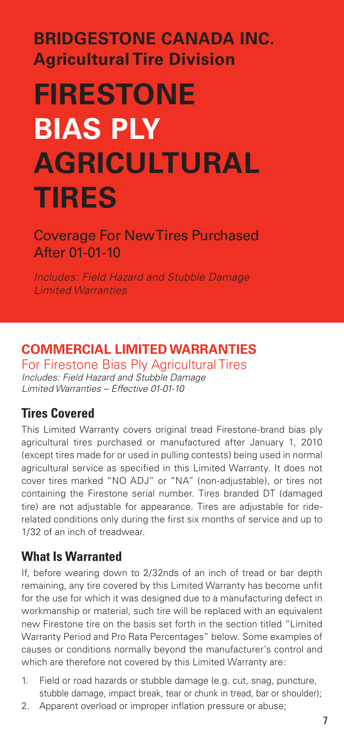# **BRIDGESTONE CANADA INC. Agricultural Tire Division**

# **FIRESTONE BIAS PLY AGRICULTURAL TIRES**

Coverage For New Tires Purchased After 01-01-10

*Includes: Field Hazard and Stubble Damage Limited Warranties*

# **COMMERCIAL LIMITED WARRANTIES**

For Firestone Bias Ply Agricultural Tires *Includes: Field Hazard and Stubble Damage Limited Warranties – Effective 01-01-10*

## **Tires Covered**

This Limited Warranty covers original tread Firestone-brand bias ply agricultural tires purchased or manufactured after January 1, 2010 (except tires made for or used in pulling contests) being used in normal agricultural service as specified in this Limited Warranty. It does not cover tires marked "NO ADJ" or "NA" (non-adjustable), or tires not containing the Firestone serial number. Tires branded DT (damaged tire) are not adjustable for appearance. Tires are adjustable for riderelated conditions only during the first six months of service and up to 1/32 of an inch of treadwear.

## **What Is Warranted**

If, before wearing down to 2/32nds of an inch of tread or bar depth remaining, any tire covered by this Limited Warranty has become unfit for the use for which it was designed due to a manufacturing defect in workmanship or material, such tire will be replaced with an equivalent new Firestone tire on the basis set forth in the section titled "Limited Warranty Period and Pro Rata Percentages" below. Some examples of causes or conditions normally beyond the manufacturer's control and which are therefore not covered by this Limited Warranty are:

- 1. Field or road hazards or stubble damage (e.g. cut, snag, puncture, stubble damage, impact break, tear or chunk in tread, bar or shoulder);
- 2. Apparent overload or improper inflation pressure or abuse;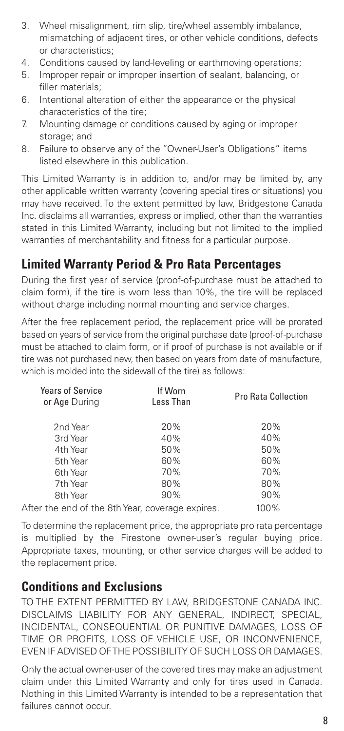- 3. Wheel misalignment, rim slip, tire/wheel assembly imbalance, mismatching of adjacent tires, or other vehicle conditions, defects or characteristics;
- 4. Conditions caused by land-leveling or earthmoving operations;
- 5. Improper repair or improper insertion of sealant, balancing, or filler materials;
- 6. Intentional alteration of either the appearance or the physical characteristics of the tire;
- 7. Mounting damage or conditions caused by aging or improper storage; and
- 8. Failure to observe any of the "Owner-User's Obligations" items listed elsewhere in this publication.

This Limited Warranty is in addition to, and/or may be limited by, any other applicable written warranty (covering special tires or situations) you may have received. To the extent permitted by law, Bridgestone Canada Inc. disclaims all warranties, express or implied, other than the warranties stated in this Limited Warranty, including but not limited to the implied warranties of merchantability and fitness for a particular purpose.

## **Limited Warranty Period & Pro Rata Percentages**

During the first year of service (proof-of-purchase must be attached to claim form), if the tire is worn less than 10%, the tire will be replaced without charge including normal mounting and service charges.

After the free replacement period, the replacement price will be prorated based on years of service from the original purchase date (proof-of-purchase must be attached to claim form, or if proof of purchase is not available or if tire was not purchased new, then based on years from date of manufacture, which is molded into the sidewall of the tire) as follows:

| <b>Years of Service</b><br>or Age During         | If Worn<br>Less Than | <b>Pro Rata Collection</b> |
|--------------------------------------------------|----------------------|----------------------------|
| 2nd Year                                         | 20%                  | 20%                        |
| 3rd Year                                         | 40%                  | 40%                        |
| 4th Year                                         | 50%                  | 50%                        |
| 5th Year                                         | 60%                  | 60%                        |
| 6th Year                                         | 70%                  | 70%                        |
| 7th Year                                         | 80%                  | 80%                        |
| 8th Year                                         | 90%                  | 90%                        |
| After the end of the 8th Year, coverage expires. |                      | 100%                       |

To determine the replacement price, the appropriate pro rata percentage is multiplied by the Firestone owner-user's regular buying price. Appropriate taxes, mounting, or other service charges will be added to the replacement price.

### **Conditions and Exclusions**

TO THE EXTENT PERMITTED BY LAW, BRIDGESTONE CANADA INC. DISCLAIMS LIABILITY FOR ANY GENERAL, INDIRECT, SPECIAL, INCIDENTAL, CONSEQUENTIAL OR PUNITIVE DAMAGES, LOSS OF TIME OR PROFITS, LOSS OF VEHICLE USE, OR INCONVENIENCE, EVEN IF ADVISED OF THE POSSIBILITY OF SUCH LOSS OR DAMAGES.

Only the actual owner-user of the covered tires may make an adjustment claim under this Limited Warranty and only for tires used in Canada. Nothing in this Limited Warranty is intended to be a representation that failures cannot occur.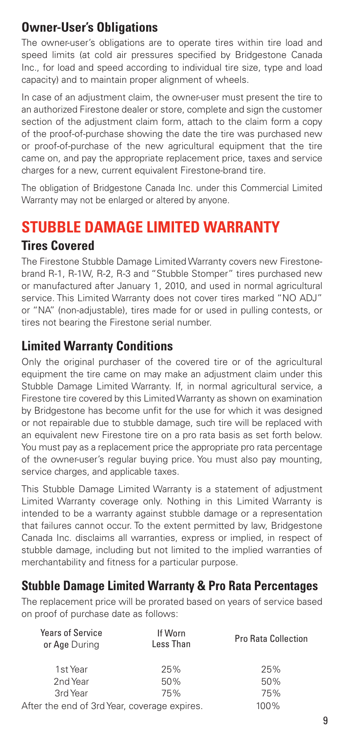# **Owner-User's Obligations**

The owner-user's obligations are to operate tires within tire load and speed limits (at cold air pressures specified by Bridgestone Canada Inc., for load and speed according to individual tire size, type and load capacity) and to maintain proper alignment of wheels.

In case of an adjustment claim, the owner-user must present the tire to an authorized Firestone dealer or store, complete and sign the customer section of the adjustment claim form, attach to the claim form a copy of the proof-of-purchase showing the date the tire was purchased new or proof-of-purchase of the new agricultural equipment that the tire came on, and pay the appropriate replacement price, taxes and service charges for a new, current equivalent Firestone-brand tire.

The obligation of Bridgestone Canada Inc. under this Commercial Limited Warranty may not be enlarged or altered by anyone.

# **STUBBLE DAMAGE LIMITED WARRANTY**

### **Tires Covered**

The Firestone Stubble Damage Limited Warranty covers new Firestonebrand R-1, R-1W, R-2, R-3 and "Stubble Stomper" tires purchased new or manufactured after January 1, 2010, and used in normal agricultural service. This Limited Warranty does not cover tires marked "NO ADJ" or "NA" (non-adjustable), tires made for or used in pulling contests, or tires not bearing the Firestone serial number.

## **Limited Warranty Conditions**

Only the original purchaser of the covered tire or of the agricultural equipment the tire came on may make an adjustment claim under this Stubble Damage Limited Warranty. If, in normal agricultural service, a Firestone tire covered by this Limited Warranty as shown on examination by Bridgestone has become unfit for the use for which it was designed or not repairable due to stubble damage, such tire will be replaced with an equivalent new Firestone tire on a pro rata basis as set forth below. You must pay as a replacement price the appropriate pro rata percentage of the owner-user's regular buying price. You must also pay mounting, service charges, and applicable taxes.

This Stubble Damage Limited Warranty is a statement of adjustment Limited Warranty coverage only. Nothing in this Limited Warranty is intended to be a warranty against stubble damage or a representation that failures cannot occur. To the extent permitted by law, Bridgestone Canada Inc. disclaims all warranties, express or implied, in respect of stubble damage, including but not limited to the implied warranties of merchantability and fitness for a particular purpose.

## **Stubble Damage Limited Warranty & Pro Rata Percentages**

The replacement price will be prorated based on years of service based on proof of purchase date as follows:

| <b>Years of Service</b><br>or Age During     | If Worn<br>Less Than | <b>Pro Rata Collection</b> |
|----------------------------------------------|----------------------|----------------------------|
| 1st Year                                     | 25%                  | 25%                        |
| 2nd Year                                     | 50%                  | 50%                        |
| 3rd Year                                     | 75%                  | 75%                        |
| After the end of 3rd Year, coverage expires. |                      | 100%                       |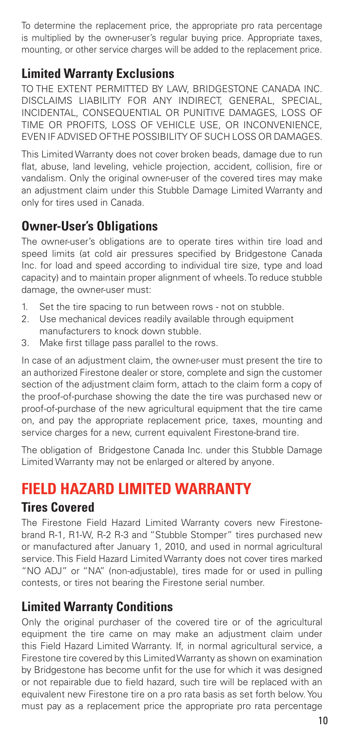To determine the replacement price, the appropriate pro rata percentage is multiplied by the owner-user's regular buying price. Appropriate taxes, mounting, or other service charges will be added to the replacement price.

## **Limited Warranty Exclusions**

TO THE EXTENT PERMITTED BY LAW, BRIDGESTONE CANADA INC. DISCLAIMS LIABILITY FOR ANY INDIRECT, GENERAL, SPECIAL, INCIDENTAL, CONSEQUENTIAL OR PUNITIVE DAMAGES, LOSS OF TIME OR PROFITS, LOSS OF VEHICLE USE, OR INCONVENIENCE, EVEN IF ADVISED OF THE POSSIBILITY OF SUCH LOSS OR DAMAGES.

This Limited Warranty does not cover broken beads, damage due to run flat, abuse, land leveling, vehicle projection, accident, collision, fire or vandalism. Only the original owner-user of the covered tires may make an adjustment claim under this Stubble Damage Limited Warranty and only for tires used in Canada.

## **Owner-User's Obligations**

The owner-user's obligations are to operate tires within tire load and speed limits (at cold air pressures specified by Bridgestone Canada Inc. for load and speed according to individual tire size, type and load capacity) and to maintain proper alignment of wheels. To reduce stubble damage, the owner-user must:

- 1. Set the tire spacing to run between rows not on stubble.
- 2. Use mechanical devices readily available through equipment manufacturers to knock down stubble.
- 3. Make first tillage pass parallel to the rows.

In case of an adjustment claim, the owner-user must present the tire to an authorized Firestone dealer or store, complete and sign the customer section of the adjustment claim form, attach to the claim form a copy of the proof-of-purchase showing the date the tire was purchased new or proof-of-purchase of the new agricultural equipment that the tire came on, and pay the appropriate replacement price, taxes, mounting and service charges for a new, current equivalent Firestone-brand tire.

The obligation of Bridgestone Canada Inc. under this Stubble Damage Limited Warranty may not be enlarged or altered by anyone.

# **FIELD HAZARD LIMITED WARRANTY**

### **Tires Covered**

The Firestone Field Hazard Limited Warranty covers new Firestonebrand R-1, R1-W, R-2 R-3 and "Stubble Stomper" tires purchased new or manufactured after January 1, 2010, and used in normal agricultural service. This Field Hazard Limited Warranty does not cover tires marked "NO ADJ" or "NA" (non-adjustable), tires made for or used in pulling contests, or tires not bearing the Firestone serial number.

## **Limited Warranty Conditions**

Only the original purchaser of the covered tire or of the agricultural equipment the tire came on may make an adjustment claim under this Field Hazard Limited Warranty. If, in normal agricultural service, a Firestone tire covered by this Limited Warranty as shown on examination by Bridgestone has become unfit for the use for which it was designed or not repairable due to field hazard, such tire will be replaced with an equivalent new Firestone tire on a pro rata basis as set forth below. You must pay as a replacement price the appropriate pro rata percentage